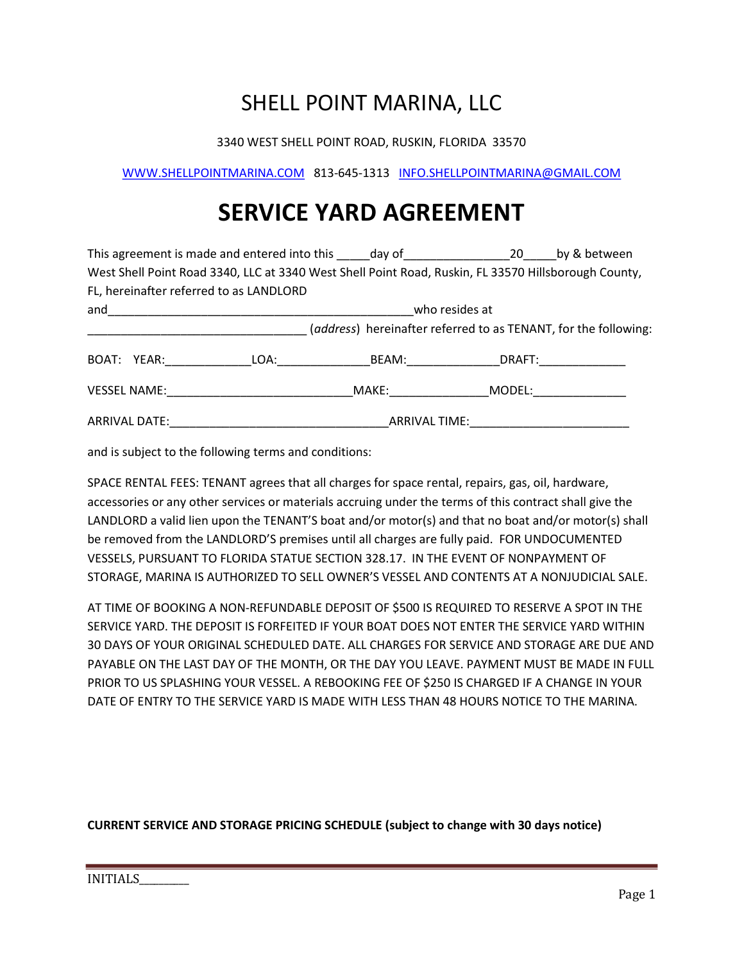### SHELL POINT MARINA, LLC

3340 WEST SHELL POINT ROAD, RUSKIN, FLORIDA 33570

WWW.SHELLPOINTMARINA.COM 813-645-1313 INFO.SHELLPOINTMARINA@GMAIL.COM

## SERVICE YARD AGREEMENT

|  |                                                                                                      | This agreement is made and entered into this day of 20                                                                                                                                                                               |                                                                 |        | by & between |  |  |  |  |  |
|--|------------------------------------------------------------------------------------------------------|--------------------------------------------------------------------------------------------------------------------------------------------------------------------------------------------------------------------------------------|-----------------------------------------------------------------|--------|--------------|--|--|--|--|--|
|  | West Shell Point Road 3340, LLC at 3340 West Shell Point Road, Ruskin, FL 33570 Hillsborough County, |                                                                                                                                                                                                                                      |                                                                 |        |              |  |  |  |  |  |
|  |                                                                                                      | FL, hereinafter referred to as LANDLORD                                                                                                                                                                                              |                                                                 |        |              |  |  |  |  |  |
|  |                                                                                                      | and <u>and the contract of the contract of the contract of the contract of the contract of the contract of the contract of the contract of the contract of the contract of the contract of the contract of the contract of the c</u> | who resides at                                                  |        |              |  |  |  |  |  |
|  |                                                                                                      |                                                                                                                                                                                                                                      | (address) hereinafter referred to as TENANT, for the following: |        |              |  |  |  |  |  |
|  | BOAT: YEAR:                                                                                          |                                                                                                                                                                                                                                      | LOA: BEAM:                                                      | DRAFT: |              |  |  |  |  |  |
|  |                                                                                                      | <b>VESSEL NAME:</b> WESSEL NAME:                                                                                                                                                                                                     | MAKE: www.com/                                                  | MODEL: |              |  |  |  |  |  |
|  |                                                                                                      |                                                                                                                                                                                                                                      | ARRIVAL TIME: _____________________                             |        |              |  |  |  |  |  |

and is subject to the following terms and conditions:

SPACE RENTAL FEES: TENANT agrees that all charges for space rental, repairs, gas, oil, hardware, accessories or any other services or materials accruing under the terms of this contract shall give the LANDLORD a valid lien upon the TENANT'S boat and/or motor(s) and that no boat and/or motor(s) shall be removed from the LANDLORD'S premises until all charges are fully paid. FOR UNDOCUMENTED VESSELS, PURSUANT TO FLORIDA STATUE SECTION 328.17. IN THE EVENT OF NONPAYMENT OF STORAGE, MARINA IS AUTHORIZED TO SELL OWNER'S VESSEL AND CONTENTS AT A NONJUDICIAL SALE.

AT TIME OF BOOKING A NON-REFUNDABLE DEPOSIT OF \$500 IS REQUIRED TO RESERVE A SPOT IN THE SERVICE YARD. THE DEPOSIT IS FORFEITED IF YOUR BOAT DOES NOT ENTER THE SERVICE YARD WITHIN 30 DAYS OF YOUR ORIGINAL SCHEDULED DATE. ALL CHARGES FOR SERVICE AND STORAGE ARE DUE AND PAYABLE ON THE LAST DAY OF THE MONTH, OR THE DAY YOU LEAVE. PAYMENT MUST BE MADE IN FULL PRIOR TO US SPLASHING YOUR VESSEL. A REBOOKING FEE OF \$250 IS CHARGED IF A CHANGE IN YOUR DATE OF ENTRY TO THE SERVICE YARD IS MADE WITH LESS THAN 48 HOURS NOTICE TO THE MARINA.

### CURRENT SERVICE AND STORAGE PRICING SCHEDULE (subject to change with 30 days notice)

INITIALS\_\_\_\_\_\_\_\_\_\_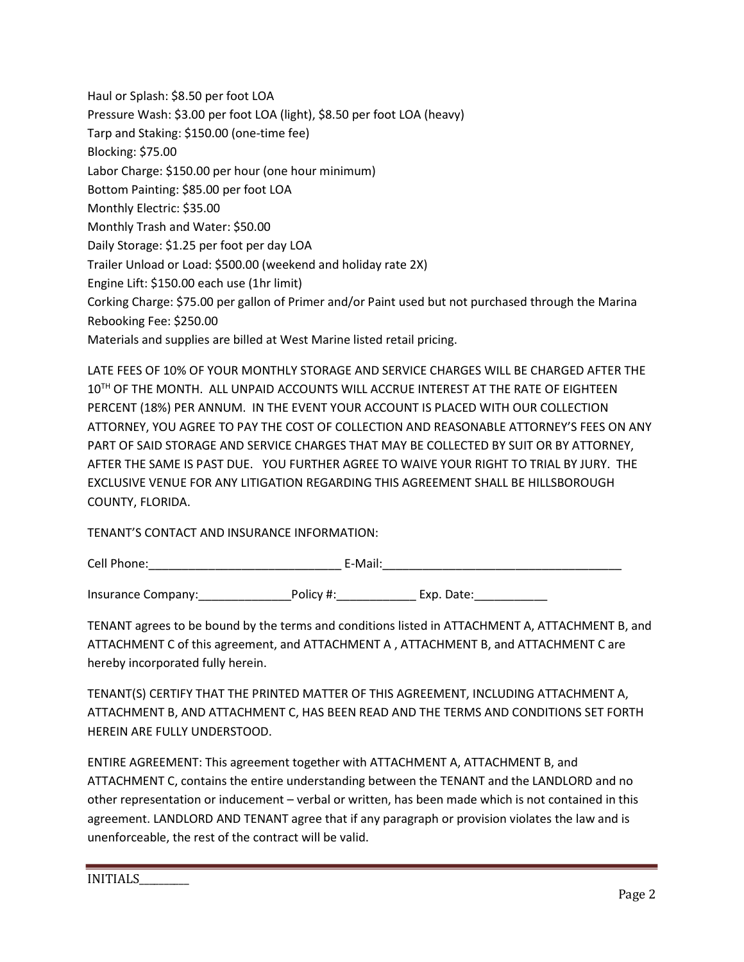Haul or Splash: \$8.50 per foot LOA Pressure Wash: \$3.00 per foot LOA (light), \$8.50 per foot LOA (heavy) Tarp and Staking: \$150.00 (one-time fee) Blocking: \$75.00 Labor Charge: \$150.00 per hour (one hour minimum) Bottom Painting: \$85.00 per foot LOA Monthly Electric: \$35.00 Monthly Trash and Water: \$50.00 Daily Storage: \$1.25 per foot per day LOA Trailer Unload or Load: \$500.00 (weekend and holiday rate 2X) Engine Lift: \$150.00 each use (1hr limit) Corking Charge: \$75.00 per gallon of Primer and/or Paint used but not purchased through the Marina Rebooking Fee: \$250.00 Materials and supplies are billed at West Marine listed retail pricing.

LATE FEES OF 10% OF YOUR MONTHLY STORAGE AND SERVICE CHARGES WILL BE CHARGED AFTER THE 10TH OF THE MONTH. ALL UNPAID ACCOUNTS WILL ACCRUE INTEREST AT THE RATE OF EIGHTEEN PERCENT (18%) PER ANNUM. IN THE EVENT YOUR ACCOUNT IS PLACED WITH OUR COLLECTION ATTORNEY, YOU AGREE TO PAY THE COST OF COLLECTION AND REASONABLE ATTORNEY'S FEES ON ANY PART OF SAID STORAGE AND SERVICE CHARGES THAT MAY BE COLLECTED BY SUIT OR BY ATTORNEY, AFTER THE SAME IS PAST DUE. YOU FURTHER AGREE TO WAIVE YOUR RIGHT TO TRIAL BY JURY. THE EXCLUSIVE VENUE FOR ANY LITIGATION REGARDING THIS AGREEMENT SHALL BE HILLSBOROUGH COUNTY, FLORIDA.

TENANT'S CONTACT AND INSURANCE INFORMATION:

| Cell Phone: | ∵-Maii. |
|-------------|---------|
|             |         |

Insurance Company: The Policy #: The Policy and Exp. Date:

TENANT agrees to be bound by the terms and conditions listed in ATTACHMENT A, ATTACHMENT B, and ATTACHMENT C of this agreement, and ATTACHMENT A , ATTACHMENT B, and ATTACHMENT C are hereby incorporated fully herein.

TENANT(S) CERTIFY THAT THE PRINTED MATTER OF THIS AGREEMENT, INCLUDING ATTACHMENT A, ATTACHMENT B, AND ATTACHMENT C, HAS BEEN READ AND THE TERMS AND CONDITIONS SET FORTH HEREIN ARE FULLY UNDERSTOOD.

ENTIRE AGREEMENT: This agreement together with ATTACHMENT A, ATTACHMENT B, and ATTACHMENT C, contains the entire understanding between the TENANT and the LANDLORD and no other representation or inducement – verbal or written, has been made which is not contained in this agreement. LANDLORD AND TENANT agree that if any paragraph or provision violates the law and is unenforceable, the rest of the contract will be valid.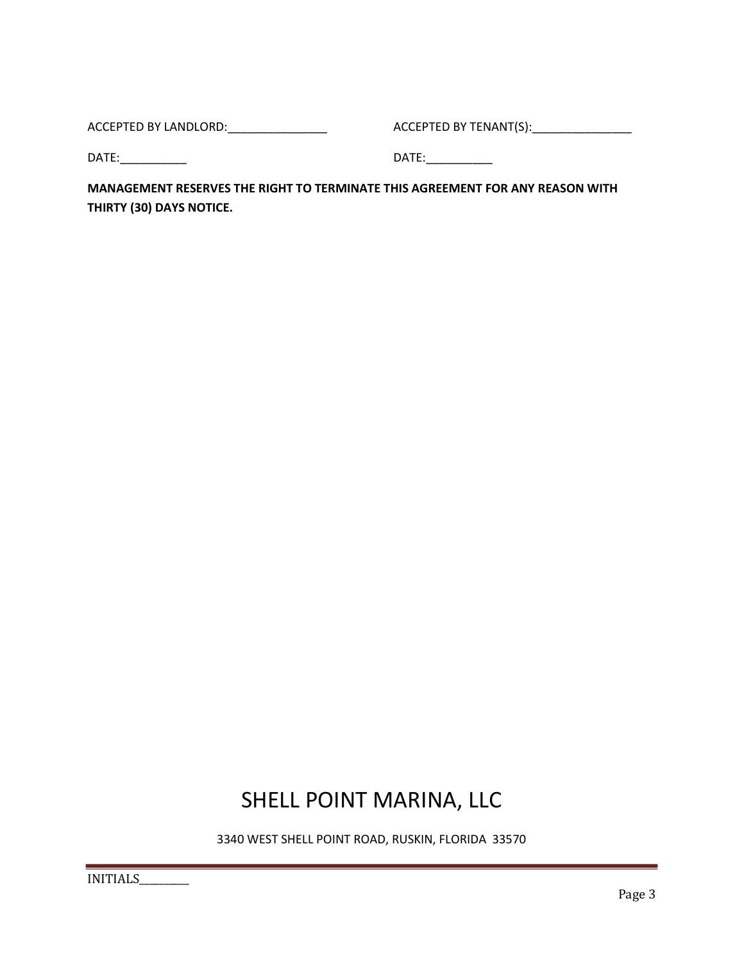ACCEPTED BY LANDLORD:\_\_\_\_\_\_\_\_\_\_\_\_\_\_\_ ACCEPTED BY TENANT(S):\_\_\_\_\_\_\_\_\_\_\_\_\_\_\_

DATE:\_\_\_\_\_\_\_\_\_\_ DATE:\_\_\_\_\_\_\_\_\_\_

MANAGEMENT RESERVES THE RIGHT TO TERMINATE THIS AGREEMENT FOR ANY REASON WITH THIRTY (30) DAYS NOTICE.

### SHELL POINT MARINA, LLC

3340 WEST SHELL POINT ROAD, RUSKIN, FLORIDA 33570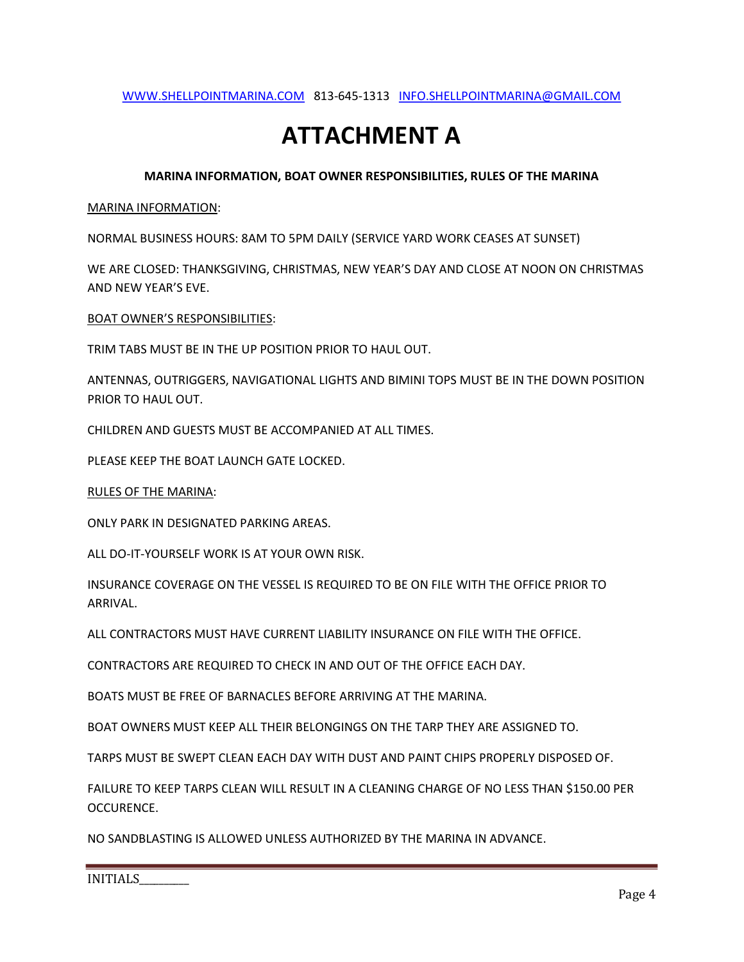#### WWW.SHELLPOINTMARINA.COM 813-645-1313 INFO.SHELLPOINTMARINA@GMAIL.COM

## ATTACHMENT A

#### MARINA INFORMATION, BOAT OWNER RESPONSIBILITIES, RULES OF THE MARINA

#### MARINA INFORMATION:

NORMAL BUSINESS HOURS: 8AM TO 5PM DAILY (SERVICE YARD WORK CEASES AT SUNSET)

WE ARE CLOSED: THANKSGIVING, CHRISTMAS, NEW YEAR'S DAY AND CLOSE AT NOON ON CHRISTMAS AND NEW YEAR'S EVE.

BOAT OWNER'S RESPONSIBILITIES:

TRIM TABS MUST BE IN THE UP POSITION PRIOR TO HAUL OUT.

ANTENNAS, OUTRIGGERS, NAVIGATIONAL LIGHTS AND BIMINI TOPS MUST BE IN THE DOWN POSITION PRIOR TO HAUL OUT.

CHILDREN AND GUESTS MUST BE ACCOMPANIED AT ALL TIMES.

PLEASE KEEP THE BOAT LAUNCH GATE LOCKED.

RULES OF THE MARINA:

ONLY PARK IN DESIGNATED PARKING AREAS.

ALL DO-IT-YOURSELF WORK IS AT YOUR OWN RISK.

INSURANCE COVERAGE ON THE VESSEL IS REQUIRED TO BE ON FILE WITH THE OFFICE PRIOR TO ARRIVAL.

ALL CONTRACTORS MUST HAVE CURRENT LIABILITY INSURANCE ON FILE WITH THE OFFICE.

CONTRACTORS ARE REQUIRED TO CHECK IN AND OUT OF THE OFFICE EACH DAY.

BOATS MUST BE FREE OF BARNACLES BEFORE ARRIVING AT THE MARINA.

BOAT OWNERS MUST KEEP ALL THEIR BELONGINGS ON THE TARP THEY ARE ASSIGNED TO.

TARPS MUST BE SWEPT CLEAN EACH DAY WITH DUST AND PAINT CHIPS PROPERLY DISPOSED OF.

FAILURE TO KEEP TARPS CLEAN WILL RESULT IN A CLEANING CHARGE OF NO LESS THAN \$150.00 PER OCCURENCE.

NO SANDBLASTING IS ALLOWED UNLESS AUTHORIZED BY THE MARINA IN ADVANCE.

INITIALS\_\_\_\_\_\_\_\_\_\_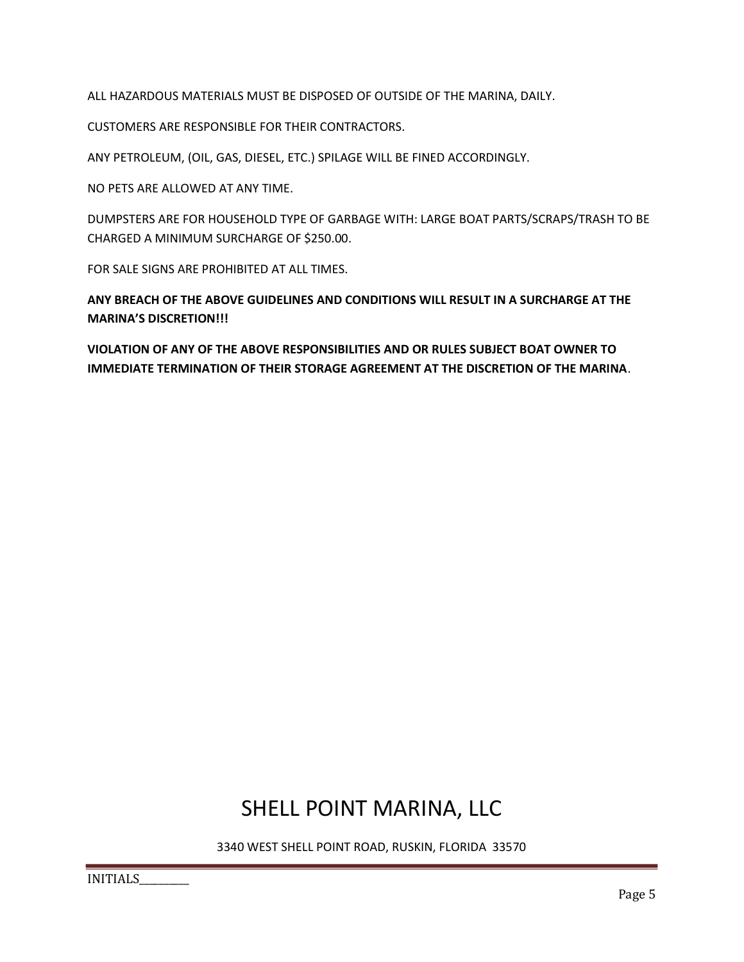ALL HAZARDOUS MATERIALS MUST BE DISPOSED OF OUTSIDE OF THE MARINA, DAILY.

CUSTOMERS ARE RESPONSIBLE FOR THEIR CONTRACTORS.

ANY PETROLEUM, (OIL, GAS, DIESEL, ETC.) SPILAGE WILL BE FINED ACCORDINGLY.

NO PETS ARE ALLOWED AT ANY TIME.

DUMPSTERS ARE FOR HOUSEHOLD TYPE OF GARBAGE WITH: LARGE BOAT PARTS/SCRAPS/TRASH TO BE CHARGED A MINIMUM SURCHARGE OF \$250.00.

FOR SALE SIGNS ARE PROHIBITED AT ALL TIMES.

ANY BREACH OF THE ABOVE GUIDELINES AND CONDITIONS WILL RESULT IN A SURCHARGE AT THE MARINA'S DISCRETION!!!

VIOLATION OF ANY OF THE ABOVE RESPONSIBILITIES AND OR RULES SUBJECT BOAT OWNER TO IMMEDIATE TERMINATION OF THEIR STORAGE AGREEMENT AT THE DISCRETION OF THE MARINA.

### SHELL POINT MARINA, LLC

3340 WEST SHELL POINT ROAD, RUSKIN, FLORIDA 33570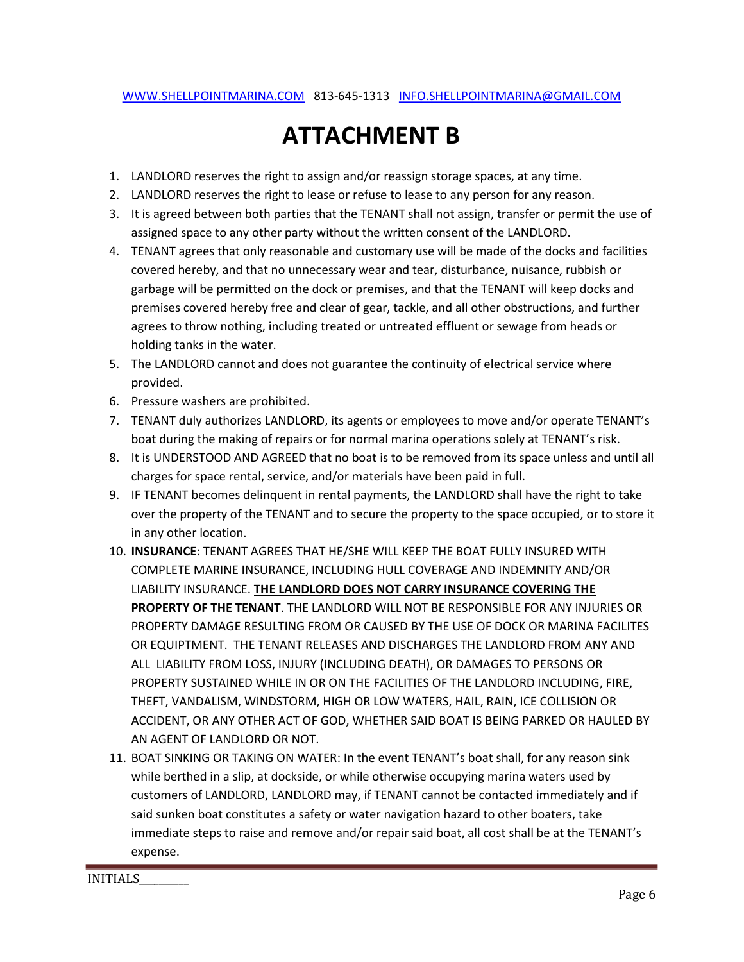## ATTACHMENT B

- 1. LANDLORD reserves the right to assign and/or reassign storage spaces, at any time.
- 2. LANDLORD reserves the right to lease or refuse to lease to any person for any reason.
- 3. It is agreed between both parties that the TENANT shall not assign, transfer or permit the use of assigned space to any other party without the written consent of the LANDLORD.
- 4. TENANT agrees that only reasonable and customary use will be made of the docks and facilities covered hereby, and that no unnecessary wear and tear, disturbance, nuisance, rubbish or garbage will be permitted on the dock or premises, and that the TENANT will keep docks and premises covered hereby free and clear of gear, tackle, and all other obstructions, and further agrees to throw nothing, including treated or untreated effluent or sewage from heads or holding tanks in the water.
- 5. The LANDLORD cannot and does not guarantee the continuity of electrical service where provided.
- 6. Pressure washers are prohibited.
- 7. TENANT duly authorizes LANDLORD, its agents or employees to move and/or operate TENANT's boat during the making of repairs or for normal marina operations solely at TENANT's risk.
- 8. It is UNDERSTOOD AND AGREED that no boat is to be removed from its space unless and until all charges for space rental, service, and/or materials have been paid in full.
- 9. IF TENANT becomes delinquent in rental payments, the LANDLORD shall have the right to take over the property of the TENANT and to secure the property to the space occupied, or to store it in any other location.
- 10. INSURANCE: TENANT AGREES THAT HE/SHE WILL KEEP THE BOAT FULLY INSURED WITH COMPLETE MARINE INSURANCE, INCLUDING HULL COVERAGE AND INDEMNITY AND/OR LIABILITY INSURANCE. THE LANDLORD DOES NOT CARRY INSURANCE COVERING THE PROPERTY OF THE TENANT. THE LANDLORD WILL NOT BE RESPONSIBLE FOR ANY INJURIES OR PROPERTY DAMAGE RESULTING FROM OR CAUSED BY THE USE OF DOCK OR MARINA FACILITES OR EQUIPTMENT. THE TENANT RELEASES AND DISCHARGES THE LANDLORD FROM ANY AND ALL LIABILITY FROM LOSS, INJURY (INCLUDING DEATH), OR DAMAGES TO PERSONS OR PROPERTY SUSTAINED WHILE IN OR ON THE FACILITIES OF THE LANDLORD INCLUDING, FIRE, THEFT, VANDALISM, WINDSTORM, HIGH OR LOW WATERS, HAIL, RAIN, ICE COLLISION OR ACCIDENT, OR ANY OTHER ACT OF GOD, WHETHER SAID BOAT IS BEING PARKED OR HAULED BY AN AGENT OF LANDLORD OR NOT.
- 11. BOAT SINKING OR TAKING ON WATER: In the event TENANT's boat shall, for any reason sink while berthed in a slip, at dockside, or while otherwise occupying marina waters used by customers of LANDLORD, LANDLORD may, if TENANT cannot be contacted immediately and if said sunken boat constitutes a safety or water navigation hazard to other boaters, take immediate steps to raise and remove and/or repair said boat, all cost shall be at the TENANT's expense.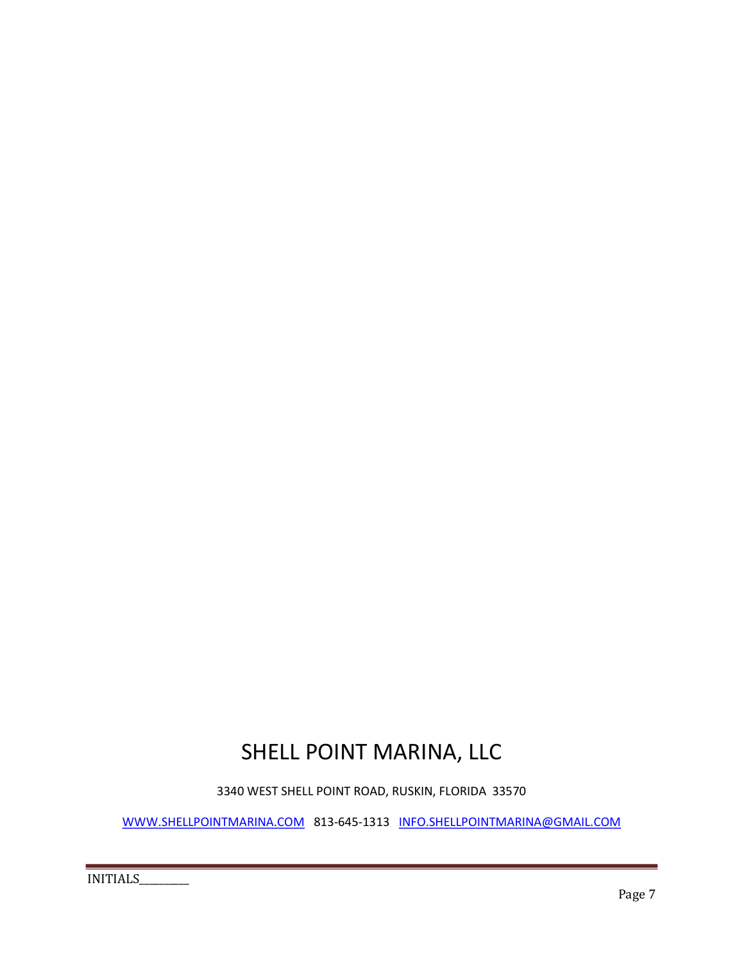## SHELL POINT MARINA, LLC

3340 WEST SHELL POINT ROAD, RUSKIN, FLORIDA 33570

WWW.SHELLPOINTMARINA.COM 813-645-1313 INFO.SHELLPOINTMARINA@GMAIL.COM